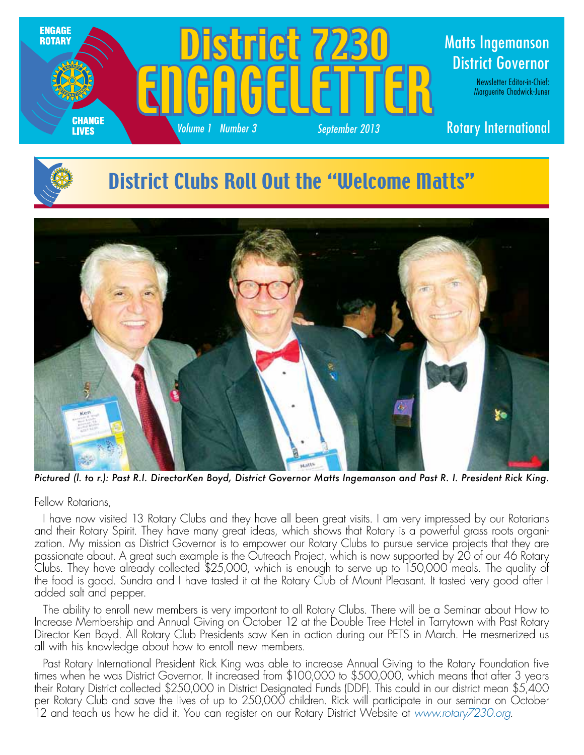





*Pictured (l. to r.): Past R.I. DirectorKen Boyd, District Governor Matts Ingemanson and Past R. I. President Rick King.*

Fellow Rotarians,

I have now visited 13 Rotary Clubs and they have all been great visits. I am very impressed by our Rotarians and their Rotary Spirit. They have many great ideas, which shows that Rotary is a powerful grass roots organization. My mission as District Governor is to empower our Rotary Clubs to pursue service projects that they are passionate about. A great such example is the Outreach Project, which is now supported by 20 of our 46 Rotary Clubs. They have already collected \$25,000, which is enough to serve up to 150,000 meals. The quality of the food is good. Sundra and I have tasted it at the Rotary Club of Mount Pleasant. It tasted very good after I added salt and pepper.

The ability to enroll new members is very important to all Rotary Clubs. There will be a Seminar about How to Increase Membership and Annual Giving on October 12 at the Double Tree Hotel in Tarrytown with Past Rotary Director Ken Boyd. All Rotary Club Presidents saw Ken in action during our PETS in March. He mesmerized us all with his knowledge about how to enroll new members.

Past Rotary International President Rick King was able to increase Annual Giving to the Rotary Foundation five times when he was District Governor. It increased from \$100,000 to \$500,000, which means that after 3 years their Rotary District collected \$250,000 in District Designated Funds (DDF). This could in our district mean \$5,400 per Rotary Club and save the lives of up to 250,000 children. Rick will participate in our seminar on October 12 and teach us how he did it. You can register on our Rotary District Website at *www.rotary7230.org*.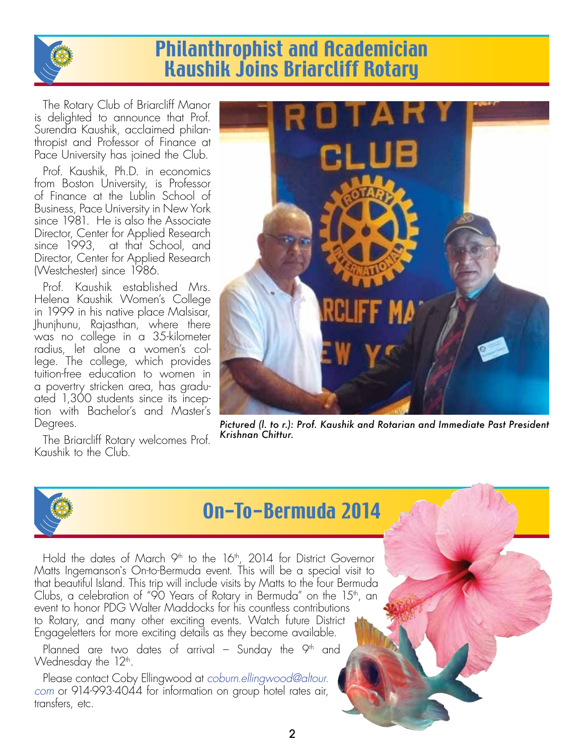

## Philanthrophist and Academician Kaushik Joins Briarcliff Rotary

The Rotary Club of Briarcliff Manor is delighted to announce that Prof. Surendra Kaushik, acclaimed philanthropist and Professor of Finance at Pace University has joined the Club.

Prof. Kaushik, Ph.D. in economics from Boston University, is Professor of Finance at the Lublin School of Business, Pace University in New York since 1981. He is also the Associate Director, Center for Applied Research since 1993, at that School, and Director, Center for Applied Research (Westchester) since 1986.

Prof. Kaushik established Mrs. Helena Kaushik Women's College in 1999 in his native place Malsisar, Jhunjhunu, Rajasthan, where there was no college in a 35-kilometer radius, let alone a women's college. The college, which provides tuition-free education to women in a povertry stricken area, has graduated 1,300 students since its inception with Bachelor's and Master's Degrees.

The Briarcliff Rotary welcomes Prof. Kaushik to the Club.



*Pictured (l. to r.): Prof. Kaushik and Rotarian and Immediate Past President Krishnan Chittur.*



# On-To-Bermuda 2014

Hold the dates of March 9<sup>th</sup> to the 16<sup>th</sup>, 2014 for District Governor Matts Ingemanson`s On-to-Bermuda event. This will be a special visit to that beautiful Island. This trip will include visits by Matts to the four Bermuda Clubs, a celebration of "90 Years of Rotary in Bermuda" on the  $15<sup>th</sup>$ , an event to honor PDG Walter Maddocks for his countless contributions to Rotary, and many other exciting events. Watch future District Engageletters for more exciting details as they become available.

Planned are two dates of arrival – Sunday the  $9<sup>th</sup>$  and Wednesday the  $12<sup>th</sup>$ .

Please contact Coby Ellingwood at *coburn.ellingwood@altour. com* or 914-993-4044 for information on group hotel rates air, transfers, etc.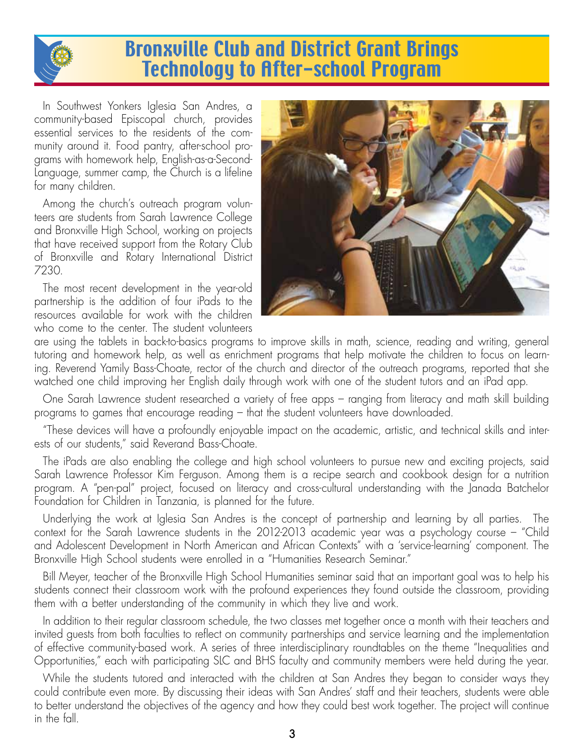

## Bronxville Club and District Grant Brings Technology to After-school Program

In Southwest Yonkers Iglesia San Andres, a community-based Episcopal church, provides essential services to the residents of the community around it. Food pantry, after-school programs with homework help, English-as-a-Second-Language, summer camp, the Church is a lifeline for many children.

Among the church's outreach program volunteers are students from Sarah Lawrence College and Bronxville High School, working on projects that have received support from the Rotary Club of Bronxville and Rotary International District 7230.

The most recent development in the year-old partnership is the addition of four iPads to the resources available for work with the children who come to the center. The student volunteers



are using the tablets in back-to-basics programs to improve skills in math, science, reading and writing, general tutoring and homework help, as well as enrichment programs that help motivate the children to focus on learning. Reverend Yamily Bass-Choate, rector of the church and director of the outreach programs, reported that she watched one child improving her English daily through work with one of the student tutors and an iPad app.

One Sarah Lawrence student researched a variety of free apps – ranging from literacy and math skill building programs to games that encourage reading – that the student volunteers have downloaded.

"These devices will have a profoundly enjoyable impact on the academic, artistic, and technical skills and interests of our students," said Reverand Bass-Choate.

The iPads are also enabling the college and high school volunteers to pursue new and exciting projects, said Sarah Lawrence Professor Kim Ferguson. Among them is a recipe search and cookbook design for a nutrition program. A "pen-pal" project, focused on literacy and cross-cultural understanding with the Janada Batchelor Foundation for Children in Tanzania, is planned for the future.

Underlying the work at Iglesia San Andres is the concept of partnership and learning by all parties. The context for the Sarah Lawrence students in the 2012-2013 academic year was a psychology course – "Child and Adolescent Development in North American and African Contexts" with a 'service-learning' component. The Bronxville High School students were enrolled in a "Humanities Research Seminar."

Bill Meyer, teacher of the Bronxville High School Humanities seminar said that an important goal was to help his students connect their classroom work with the profound experiences they found outside the classroom, providing them with a better understanding of the community in which they live and work.

In addition to their regular classroom schedule, the two classes met together once a month with their teachers and invited guests from both faculties to reflect on community partnerships and service learning and the implementation of effective community-based work. A series of three interdisciplinary roundtables on the theme "Inequalities and Opportunities," each with participating SLC and BHS faculty and community members were held during the year.

While the students tutored and interacted with the children at San Andres they began to consider ways they could contribute even more. By discussing their ideas with San Andres' staff and their teachers, students were able to better understand the objectives of the agency and how they could best work together. The project will continue in the fall.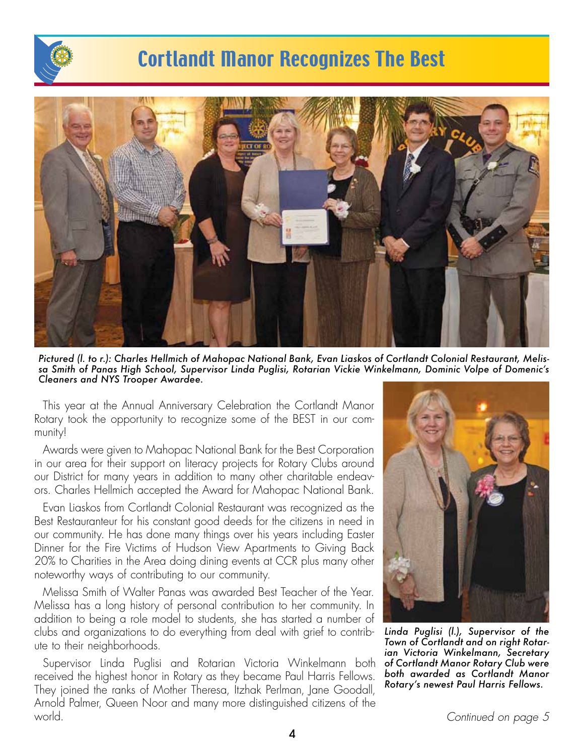

# Cortlandt Manor Recognizes The Best



*Pictured (l. to r.): Charles Hellmich of Mahopac National Bank, Evan Liaskos of Cortlandt Colonial Restaurant, Melissa Smith of Panas High School, Supervisor Linda Puglisi, Rotarian Vickie Winkelmann, Dominic Volpe of Domenic's Cleaners and NYS Trooper Awardee.*

This year at the Annual Anniversary Celebration the Cortlandt Manor Rotary took the opportunity to recognize some of the BEST in our community!

Awards were given to Mahopac National Bank for the Best Corporation in our area for their support on literacy projects for Rotary Clubs around our District for many years in addition to many other charitable endeavors. Charles Hellmich accepted the Award for Mahopac National Bank.

Evan Liaskos from Cortlandt Colonial Restaurant was recognized as the Best Restauranteur for his constant good deeds for the citizens in need in our community. He has done many things over his years including Easter Dinner for the Fire Victims of Hudson View Apartments to Giving Back 20% to Charities in the Area doing dining events at CCR plus many other noteworthy ways of contributing to our community.

Melissa Smith of Walter Panas was awarded Best Teacher of the Year. Melissa has a long history of personal contribution to her community. In addition to being a role model to students, she has started a number of clubs and organizations to do everything from deal with grief to contribute to their neighborhoods.

Supervisor Linda Puglisi and Rotarian Victoria Winkelmann both received the highest honor in Rotary as they became Paul Harris Fellows. They joined the ranks of Mother Theresa, Itzhak Perlman, Jane Goodall, Arnold Palmer, Queen Noor and many more distinguished citizens of the world.



*Linda Puglisi (l.), Supervisor of the Town of Cortlandt and on right Rotarian Victoria Winkelmann, Secretary of Cortlandt Manor Rotary Club were both awarded as Cortlandt Manor Rotary's newest Paul Harris Fellows.*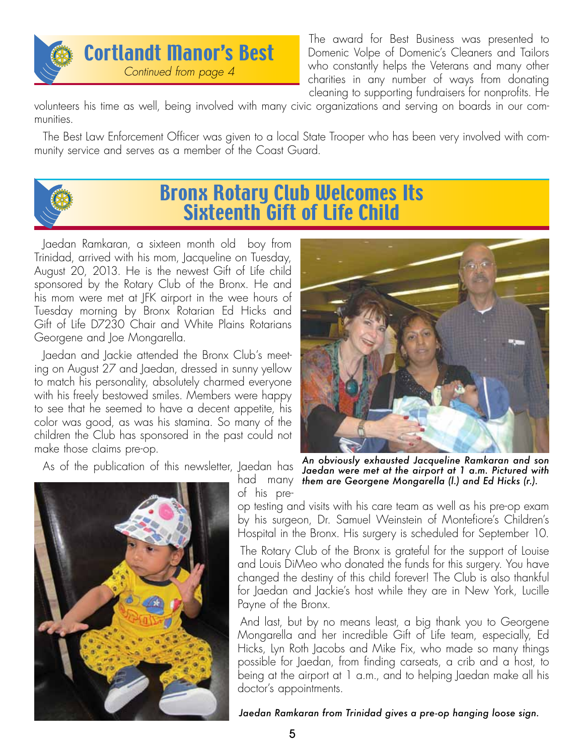

The award for Best Business was presented to Domenic Volpe of Domenic's Cleaners and Tailors who constantly helps the Veterans and many other charities in any number of ways from donating cleaning to supporting fundraisers for nonprofits. He

volunteers his time as well, being involved with many civic organizations and serving on boards in our communities.

The Best Law Enforcement Officer was given to a local State Trooper who has been very involved with community service and serves as a member of the Coast Guard.



### Bronx Rotary Club Welcomes Its Sixteenth Gift of Life Child

Jaedan Ramkaran, a sixteen month old boy from Trinidad, arrived with his mom, Jacqueline on Tuesday, August 20, 2013. He is the newest Gift of Life child sponsored by the Rotary Club of the Bronx. He and his mom were met at JFK airport in the wee hours of Tuesday morning by Bronx Rotarian Ed Hicks and Gift of Life D7230 Chair and White Plains Rotarians Georgene and Joe Mongarella.

Jaedan and Jackie attended the Bronx Club's meeting on August 27 and Jaedan, dressed in sunny yellow to match his personality, absolutely charmed everyone with his freely bestowed smiles. Members were happy to see that he seemed to have a decent appetite, his color was good, as was his stamina. So many of the children the Club has sponsored in the past could not make those claims pre-op.

As of the publication of this newsletter, Jaedan has



of his pre-



had many *them are Georgene Mongarella (l.) and Ed Hicks (r.).An obviously exhausted Jacqueline Ramkaran and son Jaedan were met at the airport at 1 a.m. Pictured with* 

op testing and visits with his care team as well as his pre-op exam by his surgeon, Dr. Samuel Weinstein of Montefiore's Children's Hospital in the Bronx. His surgery is scheduled for September 10.

The Rotary Club of the Bronx is grateful for the support of Louise and Louis DiMeo who donated the funds for this surgery. You have changed the destiny of this child forever! The Club is also thankful for Jaedan and Jackie's host while they are in New York, Lucille Payne of the Bronx.

And last, but by no means least, a big thank you to Georgene Mongarella and her incredible Gift of Life team, especially, Ed Hicks, Lyn Roth Jacobs and Mike Fix, who made so many things possible for Jaedan, from finding carseats, a crib and a host, to being at the airport at 1 a.m., and to helping Jaedan make all his doctor's appointments.

*Jaedan Ramkaran from Trinidad gives a pre-op hanging loose sign.*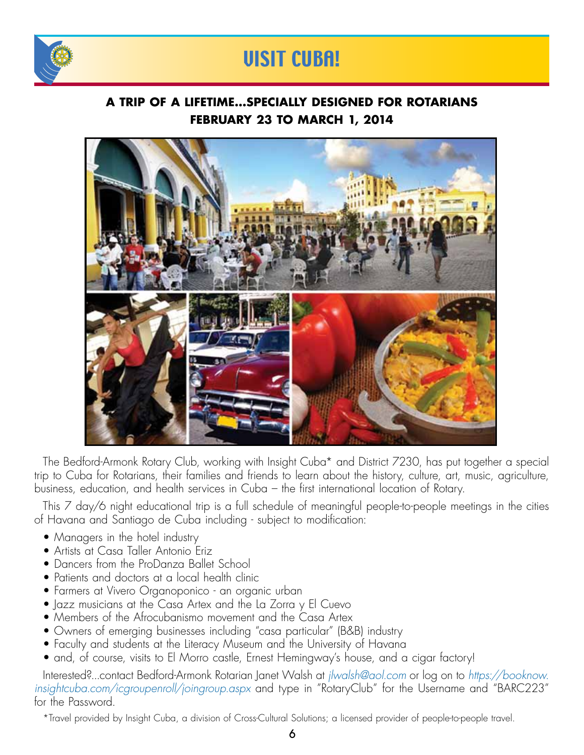

# VISIT CUBA!

### **A Trip of a Lifetime...Specially Designed For Rotarians February 23 to March 1, 2014**



The Bedford-Armonk Rotary Club, working with Insight Cuba\* and District 7230, has put together a special trip to Cuba for Rotarians, their families and friends to learn about the history, culture, art, music, agriculture, business, education, and health services in Cuba – the first international location of Rotary.

This 7 day/6 night educational trip is a full schedule of meaningful people-to-people meetings in the cities of Havana and Santiago de Cuba including - subject to modification:

- Managers in the hotel industry
- Artists at Casa Taller Antonio Eriz
- Dancers from the ProDanza Ballet School
- Patients and doctors at a local health clinic
- Farmers at Vivero Organoponico an organic urban
- Jazz musicians at the Casa Artex and the La Zorra y El Cuevo
- Members of the Afrocubanismo movement and the Casa Artex
- Owners of emerging businesses including "casa particular" (B&B) industry
- Faculty and students at the Literacy Museum and the University of Havana
- and, of course, visits to El Morro castle, Ernest Hemingway's house, and a cigar factory!

Interested?...contact Bedford-Armonk Rotarian Janet Walsh at *jlwalsh@aol.com* or log on to *https://booknow. insightcuba.com/icgroupenroll/joingroup.aspx* and type in "RotaryClub" for the Username and "BARC223" for the Password.

\*Travel provided by Insight Cuba, a division of Cross-Cultural Solutions; a licensed provider of people-to-people travel.